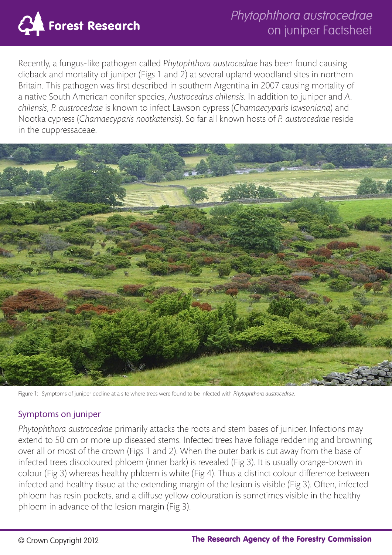

Recently, a fungus-like pathogen called *Phytophthora austrocedrae* has been found causing dieback and mortality of juniper (Figs 1 and 2) at several upland woodland sites in northern Britain. This pathogen was first described in southern Argentina in 2007 causing mortality of a native South American conifer species, *Austrocedrus chilensis*. In addition to juniper and *A. chilensis*, *P. austrocedrae* is known to infect Lawson cypress (*Chamaecyparis lawsoniana*) and Nootka cypress (*Chamaecyparis nootkatensis*). So far all known hosts of *P. austrocedrae* reside in the cuppressaceae.



Figure 1: Symptoms of juniper decline at a site where trees were found to be infected with *Phytophthora austrocedrae*.

#### Symptoms on juniper

*Phytophthora austrocedrae* primarily attacks the roots and stem bases of juniper. Infections may extend to 50 cm or more up diseased stems. Infected trees have foliage reddening and browning over all or most of the crown (Figs 1 and 2). When the outer bark is cut away from the base of infected trees discoloured phloem (inner bark) is revealed (Fig 3). It is usually orange-brown in colour (Fig 3) whereas healthy phloem is white (Fig 4). Thus a distinct colour difference between infected and healthy tissue at the extending margin of the lesion is visible (Fig 3). Often, infected phloem has resin pockets, and a diffuse yellow colouration is sometimes visible in the healthy phloem in advance of the lesion margin (Fig 3).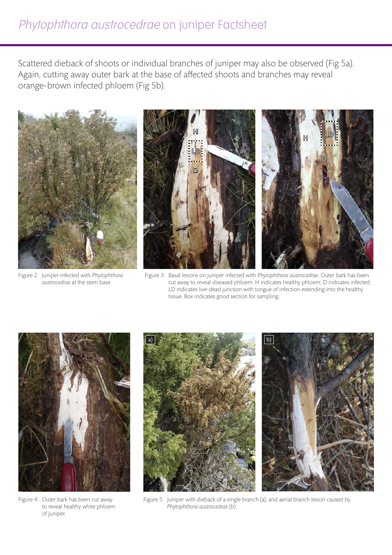# Phytophthora austrocedrae on juniper Factsheet

Scattered dieback of shoots or individual branches of juniper may also be observed (Fig 5a). Again, cutting away outer bark at the base of affected shoots and branches may reveal orange-brown infected phloem (Fig 5b).



Figure 2: Juniper infected with *Phytophthora austrocedrae* at the stem base.



Figure 3: Basal lesions on juniper infected with *Phytophthora austrocedrae*. Outer bark has been cut away to reveal diseased phloem. H indicates healthy phloem; D indicates infected; LD indicates live-dead junction with tongue of infection extending into the healthy tissue. Box indicates good section for sampling.



Figure 4: Outer bark has been cut away to reveal healthy white phloem of juniper.



Figure 5: Juniper with dieback of a single branch (a), and aerial branch lesion caused by *Phytophthora austrocedrae* (b).